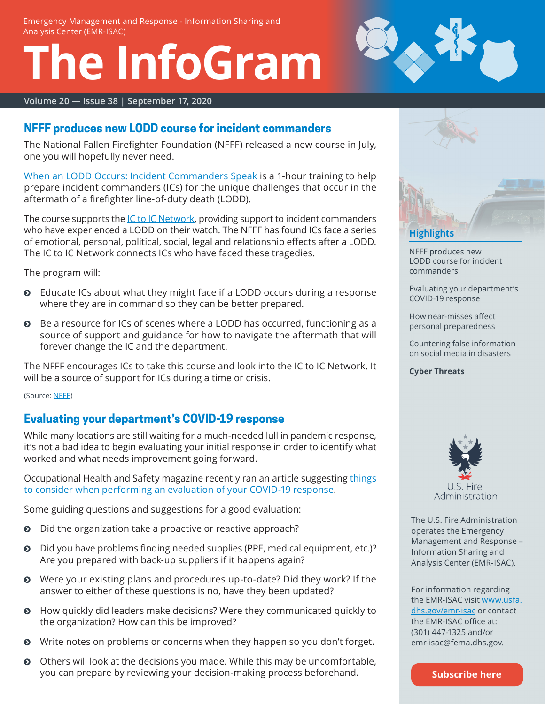Emergency Management and Response - Information Sharing and Analysis Center (EMR-ISAC)

# **The InfoGram**



**Volume 20 — Issue 38 | September 17, 2020**

# <span id="page-0-0"></span>**NFFF produces new LODD course for incident commanders**

The National Fallen Firefighter Foundation (NFFF) released a new course in July, one you will hopefully never need.

[When an LODD Occurs: Incident Commanders Speak](https://www.fireherolearningnetwork.com/Training_Programs/When_an_LODD_Occurs_Incident_Commanders_Speak.aspx) is a 1-hour training to help prepare incident commanders (ICs) for the unique challenges that occur in the aftermath of a firefighter line-of-duty death (LODD).

The course supports the [IC to IC Network,](https://www.firehero.org/resources/department-resources/programs/ic-to-ic-network/) providing support to incident commanders who have experienced a LODD on their watch. The NFFF has found ICs face a series of emotional, personal, political, social, legal and relationship effects after a LODD. The IC to IC Network connects ICs who have faced these tragedies.

The program will:

- $\odot$  Educate ICs about what they might face if a LODD occurs during a response where they are in command so they can be better prepared.
- $\odot$  Be a resource for ICs of scenes where a LODD has occurred, functioning as a source of support and guidance for how to navigate the aftermath that will forever change the IC and the department.

The NFFF encourages ICs to take this course and look into the IC to IC Network. It will be a source of support for ICs during a time or crisis.

(Source: [NFFF](https://www.firehero.org/2020/07/27/when-an-lodd-occurs/))

# **Evaluating your department's COVID-19 response**

While many locations are still waiting for a much-needed lull in pandemic response, it's not a bad idea to begin evaluating your initial response in order to identify what worked and what needs improvement going forward.

Occupational Health and Safety magazine recently ran an [article suggesting things](https://ohsonline.com/articles/2020/09/14/start-evaluating-actions.aspx?oly_enc_id=) [to consider when performing an evaluation of your COVID-19 response.](https://ohsonline.com/articles/2020/09/14/start-evaluating-actions.aspx?oly_enc_id=)

Some guiding questions and suggestions for a good evaluation:

- **O** Did the organization take a proactive or reactive approach?
- **O** Did you have problems finding needed supplies (PPE, medical equipment, etc.)? Are you prepared with back-up suppliers if it happens again?
- Were your existing plans and procedures up-to-date? Did they work? If the answer to either of these questions is no, have they been updated?
- ĵ How quickly did leaders make decisions? Were they communicated quickly to the organization? How can this be improved?
- Write notes on problems or concerns when they happen so you don't forget.
- **O** Others will look at the decisions you made. While this may be uncomfortable, you can prepare by reviewing your decision-making process beforehand.



[NFFF produces new](#page-0-0)  [LODD course for incident](#page-0-0)  [commanders](#page-0-0)

Evaluating your department's COVID-19 response

[How near-misses affect](#page-1-0)  [personal preparedness](#page-1-0)

[Countering false information](#page-1-1)  [on social media in disasters](#page-1-1)

**[Cyber Threats](#page-2-0)**



The U.S. Fire Administration operates the Emergency Management and Response – Information Sharing and Analysis Center (EMR-ISAC).

For information regarding the EMR-ISAC visit [www.usfa.](https://www.usfa.dhs.gov/emr-isac) [dhs.gov/emr-isac](https://www.usfa.dhs.gov/emr-isac) or contact the EMR-ISAC office at: (301) 447-1325 and/or [emr-isac@fema.dhs.gov.](mailto:emr-isac%40fema.dhs.gov?subject=)

**[Subscribe here](https://public.govdelivery.com/accounts/USDHSFACIR/subscriber/new?pop=t&topic_id=USDHSFACIR_1)**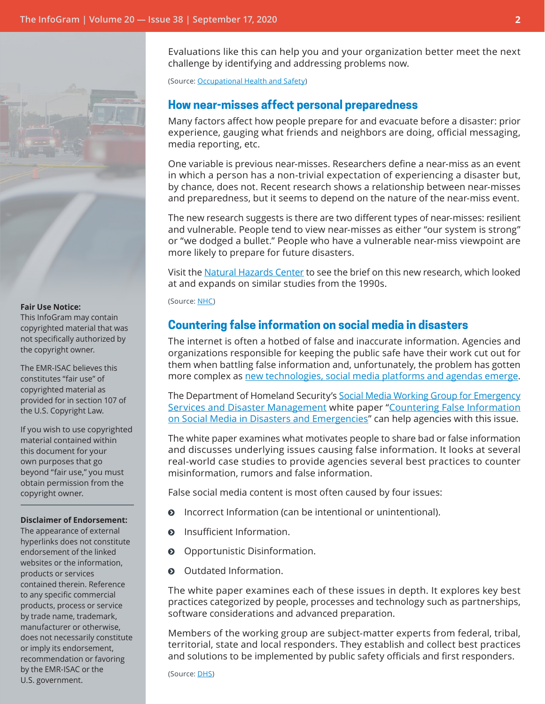

#### **Fair Use Notice:**

This InfoGram may contain copyrighted material that was not specifically authorized by the copyright owner.

The EMR-ISAC believes this constitutes "fair use" of copyrighted material as provided for in section 107 of the U.S. Copyright Law.

If you wish to use copyrighted material contained within this document for your own purposes that go beyond "fair use," you must obtain permission from the copyright owner.

#### **Disclaimer of Endorsement:**

The appearance of external hyperlinks does not constitute endorsement of the linked websites or the information, products or services contained therein. Reference to any specific commercial products, process or service by trade name, trademark, manufacturer or otherwise, does not necessarily constitute or imply its endorsement, recommendation or favoring by the EMR-ISAC or the U.S. government.

Evaluations like this can help you and your organization better meet the next challenge by identifying and addressing problems now.

(Source: [Occupational Health](https://ohsonline.com/articles/2020/09/14/start-evaluating-actions.aspx?oly_enc_id=) and Safety)

### <span id="page-1-0"></span>**How near-misses affect personal preparedness**

Many factors affect how people prepare for and evacuate before a disaster: prior experience, gauging what friends and neighbors are doing, official messaging, media reporting, etc.

One variable is previous near-misses. Researchers define a near-miss as an event in which a person has a non-trivial expectation of experiencing a disaster but, by chance, does not. Recent research shows a relationship between near-misses and preparedness, but it seems to depend on the nature of the near-miss event.

The new research suggests is there are two different types of near-misses: resilient and vulnerable. People tend to view near-misses as either "our system is strong" or "we dodged a bullet." People who have a vulnerable near-miss viewpoint are more likely to prepare for future disasters.

Visit the [Natural Hazards Center](https://hazards.colorado.edu/news/research-counts/close-encounters-how-near-misses-influence-disaster-decision-making) to see the brief on this new research, which looked at and expands on similar studies from the 1990s.

#### (Source: [NHC\)](https://hazards.colorado.edu/news/research-counts/close-encounters-how-near-misses-influence-disaster-decision-making)

## <span id="page-1-1"></span>**Countering false information on social media in disasters**

The internet is often a hotbed of false and inaccurate information. Agencies and organizations responsible for keeping the public safe have their work cut out for them when battling false information and, unfortunately, the problem has gotten more complex as [new technologies, social media platforms and agendas emerge](https://www.nbcnews.com/tech/security/wildfires-rage-false-antifa-rumors-spur-pleas-police-n1239881).

The Department of Homeland Security's Social Media Working Group for Emergency [Services and Disaster Management](https://www.dhs.gov/science-and-technology/smwg) white paper ["Countering False Information](https://www.dhs.gov/publication/st-frg-countering-false-information-social-media-disasters-and-emergencies) [on Social Media in Disasters and Emergencies"](https://www.dhs.gov/publication/st-frg-countering-false-information-social-media-disasters-and-emergencies) can help agencies with this issue.

The white paper examines what motivates people to share bad or false information and discusses underlying issues causing false information. It looks at several real-world case studies to provide agencies several best practices to counter misinformation, rumors and false information.

False social media content is most often caused by four issues:

- **O** Incorrect Information (can be intentional or unintentional).
- $\odot$  Insufficient Information.
- $\odot$  Opportunistic Disinformation.
- $\odot$  Outdated Information.

The white paper examines each of these issues in depth. It explores key best practices categorized by people, processes and technology such as partnerships, software considerations and advanced preparation.

Members of the working group are subject-matter experts from federal, tribal, territorial, state and local responders. They establish and collect best practices and solutions to be implemented by public safety officials and first responders.

(Source: [DHS\)](https://www.dhs.gov/science-and-technology/smwg)